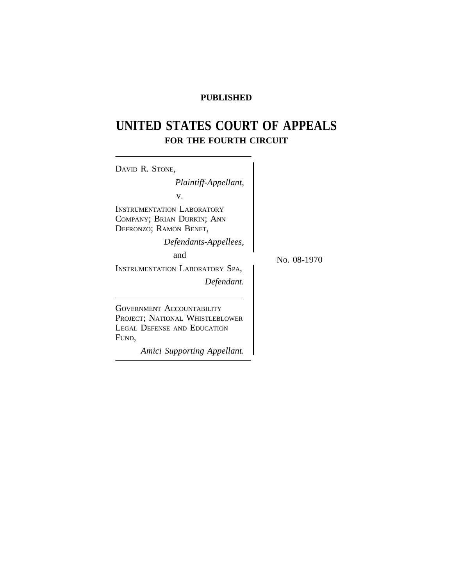# **PUBLISHED**

# **UNITED STATES COURT OF APPEALS FOR THE FOURTH CIRCUIT**

| DAVID R. STONE,                                                                                                                                   |             |
|---------------------------------------------------------------------------------------------------------------------------------------------------|-------------|
| Plaintiff-Appellant,                                                                                                                              |             |
| V.                                                                                                                                                |             |
| INSTRUMENTATION LABORATORY<br>COMPANY; BRIAN DURKIN; ANN<br>DEFRONZO; RAMON BENET,                                                                |             |
| Defendants-Appellees,                                                                                                                             |             |
| and                                                                                                                                               | No. 08-1970 |
| INSTRUMENTATION LABORATORY SPA,                                                                                                                   |             |
| Defendant.                                                                                                                                        |             |
| <b>GOVERNMENT ACCOUNTABILITY</b><br>PROJECT; NATIONAL WHISTLEBLOWER<br><b>LEGAL DEFENSE AND EDUCATION</b><br>FUND,<br>Amici Supporting Appellant. |             |
|                                                                                                                                                   |             |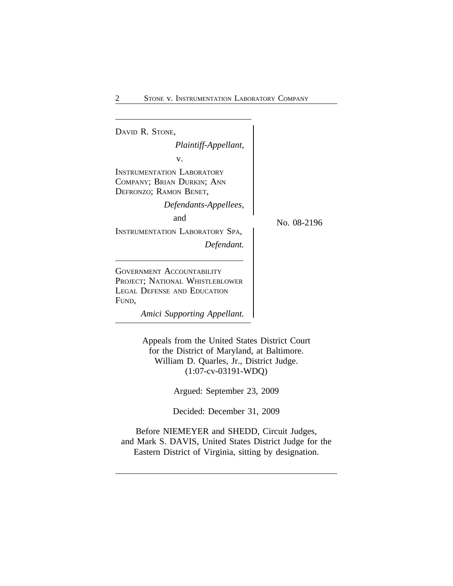<sup>D</sup>AVID R. STONE, *Plaintiff-Appellant,* v. INSTRUMENTATION LABORATORY COMPANY; BRIAN DURKIN; ANN DEFRONZO; RAMON BENET, *Defendants-Appellees,* and  $N_{\rm O.}$  08-2196 INSTRUMENTATION LABORATORY SPA, *Defendant.* GOVERNMENT ACCOUNTABILITY PROJECT; NATIONAL WHISTLEBLOWER LEGAL DEFENSE AND EDUCATION FUND,

*Amici Supporting Appellant.*

Appeals from the United States District Court for the District of Maryland, at Baltimore. William D. Quarles, Jr., District Judge. (1:07-cv-03191-WDQ)

Argued: September 23, 2009

Decided: December 31, 2009

Before NIEMEYER and SHEDD, Circuit Judges, and Mark S. DAVIS, United States District Judge for the Eastern District of Virginia, sitting by designation.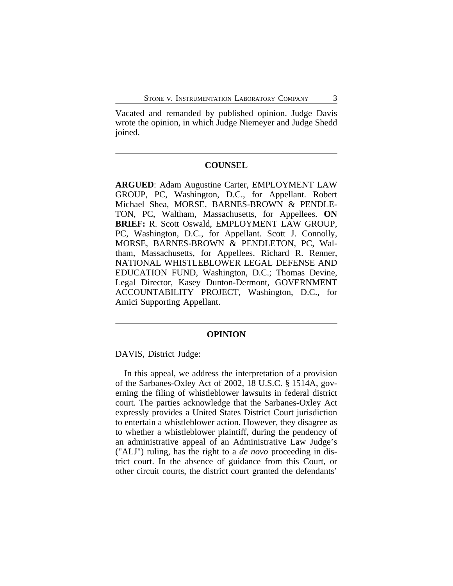Vacated and remanded by published opinion. Judge Davis wrote the opinion, in which Judge Niemeyer and Judge Shedd joined.

#### **COUNSEL**

**ARGUED**: Adam Augustine Carter, EMPLOYMENT LAW GROUP, PC, Washington, D.C., for Appellant. Robert Michael Shea, MORSE, BARNES-BROWN & PENDLE-TON, PC, Waltham, Massachusetts, for Appellees. **ON BRIEF:** R. Scott Oswald, EMPLOYMENT LAW GROUP, PC, Washington, D.C., for Appellant. Scott J. Connolly, MORSE, BARNES-BROWN & PENDLETON, PC, Waltham, Massachusetts, for Appellees. Richard R. Renner, NATIONAL WHISTLEBLOWER LEGAL DEFENSE AND EDUCATION FUND, Washington, D.C.; Thomas Devine, Legal Director, Kasey Dunton-Dermont, GOVERNMENT ACCOUNTABILITY PROJECT, Washington, D.C., for Amici Supporting Appellant.

#### **OPINION**

DAVIS, District Judge:

In this appeal, we address the interpretation of a provision of the Sarbanes-Oxley Act of 2002, 18 U.S.C. § 1514A, governing the filing of whistleblower lawsuits in federal district court. The parties acknowledge that the Sarbanes-Oxley Act expressly provides a United States District Court jurisdiction to entertain a whistleblower action. However, they disagree as to whether a whistleblower plaintiff, during the pendency of an administrative appeal of an Administrative Law Judge's ("ALJ") ruling, has the right to a *de novo* proceeding in district court. In the absence of guidance from this Court, or other circuit courts, the district court granted the defendants'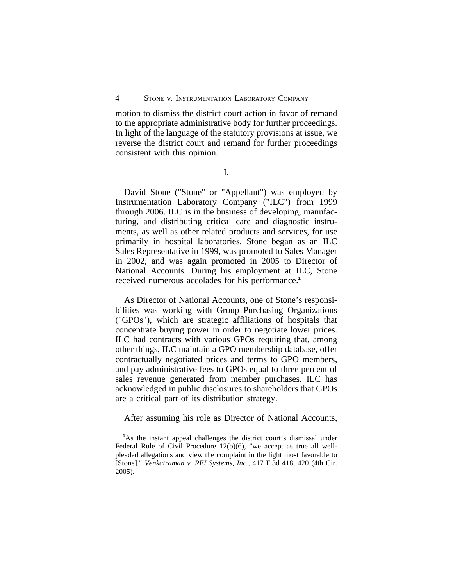motion to dismiss the district court action in favor of remand to the appropriate administrative body for further proceedings. In light of the language of the statutory provisions at issue, we reverse the district court and remand for further proceedings consistent with this opinion.

I.

David Stone ("Stone" or "Appellant") was employed by Instrumentation Laboratory Company ("ILC") from 1999 through 2006. ILC is in the business of developing, manufacturing, and distributing critical care and diagnostic instruments, as well as other related products and services, for use primarily in hospital laboratories. Stone began as an ILC Sales Representative in 1999, was promoted to Sales Manager in 2002, and was again promoted in 2005 to Director of National Accounts. During his employment at ILC, Stone received numerous accolades for his performance.**<sup>1</sup>**

As Director of National Accounts, one of Stone's responsibilities was working with Group Purchasing Organizations ("GPOs"), which are strategic affiliations of hospitals that concentrate buying power in order to negotiate lower prices. ILC had contracts with various GPOs requiring that, among other things, ILC maintain a GPO membership database, offer contractually negotiated prices and terms to GPO members, and pay administrative fees to GPOs equal to three percent of sales revenue generated from member purchases. ILC has acknowledged in public disclosures to shareholders that GPOs are a critical part of its distribution strategy.

After assuming his role as Director of National Accounts,

**<sup>1</sup>**As the instant appeal challenges the district court's dismissal under Federal Rule of Civil Procedure 12(b)(6), "we accept as true all wellpleaded allegations and view the complaint in the light most favorable to [Stone]." *Venkatraman v. REI Systems, Inc.*, 417 F.3d 418, 420 (4th Cir. 2005).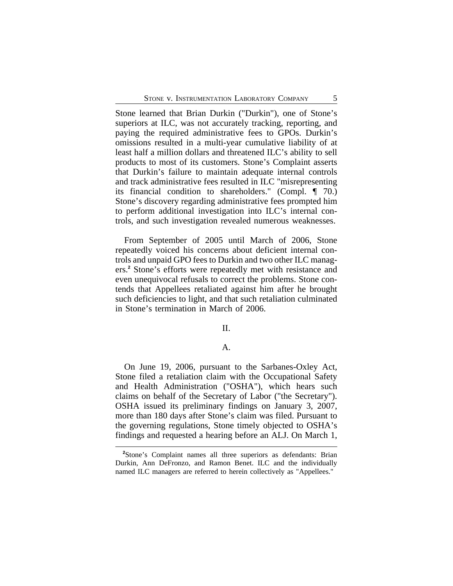Stone learned that Brian Durkin ("Durkin"), one of Stone's superiors at ILC, was not accurately tracking, reporting, and paying the required administrative fees to GPOs. Durkin's omissions resulted in a multi-year cumulative liability of at least half a million dollars and threatened ILC's ability to sell products to most of its customers. Stone's Complaint asserts that Durkin's failure to maintain adequate internal controls and track administrative fees resulted in ILC "misrepresenting its financial condition to shareholders." (Compl. ¶ 70.) Stone's discovery regarding administrative fees prompted him to perform additional investigation into ILC's internal controls, and such investigation revealed numerous weaknesses.

From September of 2005 until March of 2006, Stone repeatedly voiced his concerns about deficient internal controls and unpaid GPO fees to Durkin and two other ILC managers.**<sup>2</sup>** Stone's efforts were repeatedly met with resistance and even unequivocal refusals to correct the problems. Stone contends that Appellees retaliated against him after he brought such deficiencies to light, and that such retaliation culminated in Stone's termination in March of 2006.

II.

#### A.

On June 19, 2006, pursuant to the Sarbanes-Oxley Act, Stone filed a retaliation claim with the Occupational Safety and Health Administration ("OSHA"), which hears such claims on behalf of the Secretary of Labor ("the Secretary"). OSHA issued its preliminary findings on January 3, 2007, more than 180 days after Stone's claim was filed. Pursuant to the governing regulations, Stone timely objected to OSHA's findings and requested a hearing before an ALJ. On March 1,

**<sup>2</sup>**Stone's Complaint names all three superiors as defendants: Brian Durkin, Ann DeFronzo, and Ramon Benet. ILC and the individually named ILC managers are referred to herein collectively as "Appellees."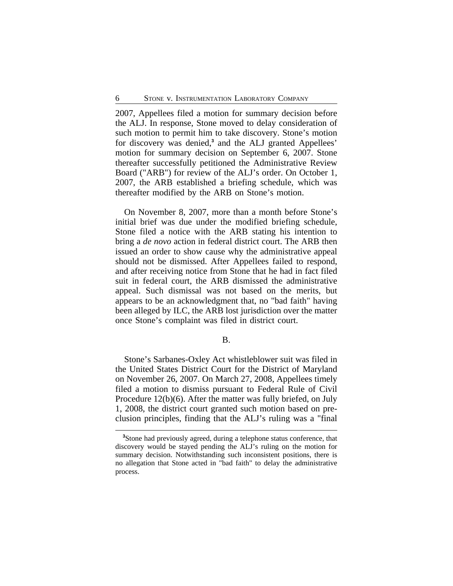2007, Appellees filed a motion for summary decision before the ALJ. In response, Stone moved to delay consideration of such motion to permit him to take discovery. Stone's motion for discovery was denied,<sup>3</sup> and the ALJ granted Appellees' motion for summary decision on September 6, 2007. Stone thereafter successfully petitioned the Administrative Review Board ("ARB") for review of the ALJ's order. On October 1, 2007, the ARB established a briefing schedule, which was thereafter modified by the ARB on Stone's motion.

On November 8, 2007, more than a month before Stone's initial brief was due under the modified briefing schedule, Stone filed a notice with the ARB stating his intention to bring a *de novo* action in federal district court. The ARB then issued an order to show cause why the administrative appeal should not be dismissed. After Appellees failed to respond, and after receiving notice from Stone that he had in fact filed suit in federal court, the ARB dismissed the administrative appeal. Such dismissal was not based on the merits, but appears to be an acknowledgment that, no "bad faith" having been alleged by ILC, the ARB lost jurisdiction over the matter once Stone's complaint was filed in district court.

B.

Stone's Sarbanes-Oxley Act whistleblower suit was filed in the United States District Court for the District of Maryland on November 26, 2007. On March 27, 2008, Appellees timely filed a motion to dismiss pursuant to Federal Rule of Civil Procedure 12(b)(6). After the matter was fully briefed, on July 1, 2008, the district court granted such motion based on preclusion principles, finding that the ALJ's ruling was a "final

**<sup>3</sup>**Stone had previously agreed, during a telephone status conference, that discovery would be stayed pending the ALJ's ruling on the motion for summary decision. Notwithstanding such inconsistent positions, there is no allegation that Stone acted in "bad faith" to delay the administrative process.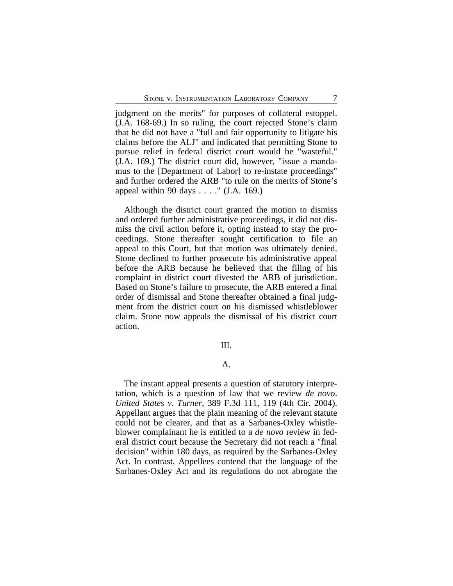judgment on the merits" for purposes of collateral estoppel. (J.A. 168-69.) In so ruling, the court rejected Stone's claim that he did not have a "full and fair opportunity to litigate his claims before the ALJ" and indicated that permitting Stone to pursue relief in federal district court would be "wasteful." (J.A. 169.) The district court did, however, "issue a mandamus to the [Department of Labor] to re-instate proceedings" and further ordered the ARB "to rule on the merits of Stone's appeal within 90 days . . . ." (J.A. 169.)

Although the district court granted the motion to dismiss and ordered further administrative proceedings, it did not dismiss the civil action before it, opting instead to stay the proceedings. Stone thereafter sought certification to file an appeal to this Court, but that motion was ultimately denied. Stone declined to further prosecute his administrative appeal before the ARB because he believed that the filing of his complaint in district court divested the ARB of jurisdiction. Based on Stone's failure to prosecute, the ARB entered a final order of dismissal and Stone thereafter obtained a final judgment from the district court on his dismissed whistleblower claim. Stone now appeals the dismissal of his district court action.

#### III.

#### A.

The instant appeal presents a question of statutory interpretation, which is a question of law that we review *de novo*. *United States v. Turner*, 389 F.3d 111, 119 (4th Cir. 2004). Appellant argues that the plain meaning of the relevant statute could not be clearer, and that as a Sarbanes-Oxley whistleblower complainant he is entitled to a *de novo* review in federal district court because the Secretary did not reach a "final decision" within 180 days, as required by the Sarbanes-Oxley Act. In contrast, Appellees contend that the language of the Sarbanes-Oxley Act and its regulations do not abrogate the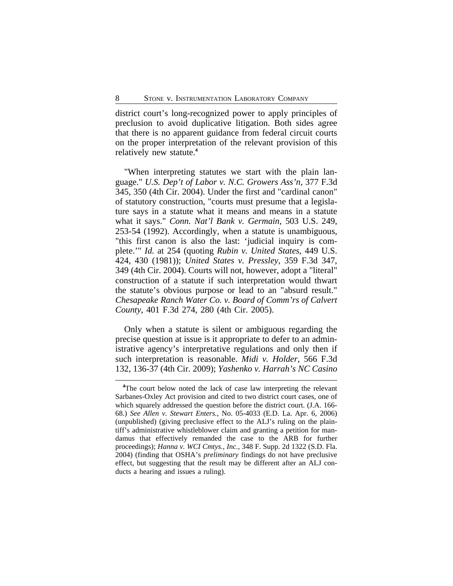district court's long-recognized power to apply principles of preclusion to avoid duplicative litigation. Both sides agree that there is no apparent guidance from federal circuit courts on the proper interpretation of the relevant provision of this relatively new statute.**<sup>4</sup>**

"When interpreting statutes we start with the plain language." *U.S. Dep't of Labor v. N.C. Growers Ass'n*, 377 F.3d 345, 350 (4th Cir. 2004). Under the first and "cardinal canon" of statutory construction, "courts must presume that a legislature says in a statute what it means and means in a statute what it says." *Conn. Nat'l Bank v. Germain*, 503 U.S. 249, 253-54 (1992). Accordingly, when a statute is unambiguous, "this first canon is also the last: 'judicial inquiry is complete.'" *Id.* at 254 (quoting *Rubin v. United States*, 449 U.S. 424, 430 (1981)); *United States v. Pressley*, 359 F.3d 347, 349 (4th Cir. 2004). Courts will not, however, adopt a "literal" construction of a statute if such interpretation would thwart the statute's obvious purpose or lead to an "absurd result." *Chesapeake Ranch Water Co. v. Board of Comm'rs of Calvert County*, 401 F.3d 274, 280 (4th Cir. 2005).

Only when a statute is silent or ambiguous regarding the precise question at issue is it appropriate to defer to an administrative agency's interpretative regulations and only then if such interpretation is reasonable. *Midi v. Holder*, 566 F.3d 132, 136-37 (4th Cir. 2009); *Yashenko v. Harrah's NC Casino*

**<sup>4</sup>**The court below noted the lack of case law interpreting the relevant Sarbanes-Oxley Act provision and cited to two district court cases, one of which squarely addressed the question before the district court. (J.A. 166- 68.) *See Allen v. Stewart Enters.*, No. 05-4033 (E.D. La. Apr. 6, 2006) (unpublished) (giving preclusive effect to the ALJ's ruling on the plaintiff's administrative whistleblower claim and granting a petition for mandamus that effectively remanded the case to the ARB for further proceedings); *Hanna v. WCI Cmtys., Inc.*, 348 F. Supp. 2d 1322 (S.D. Fla. 2004) (finding that OSHA's *preliminary* findings do not have preclusive effect, but suggesting that the result may be different after an ALJ conducts a hearing and issues a ruling).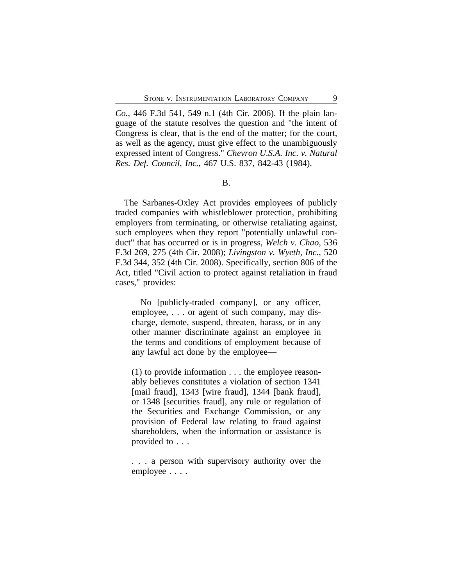*Co.*, 446 F.3d 541, 549 n.1 (4th Cir. 2006). If the plain language of the statute resolves the question and "the intent of Congress is clear, that is the end of the matter; for the court, as well as the agency, must give effect to the unambiguously expressed intent of Congress." *Chevron U.S.A. Inc. v. Natural Res. Def. Council, Inc.*, 467 U.S. 837, 842-43 (1984).

### B.

The Sarbanes-Oxley Act provides employees of publicly traded companies with whistleblower protection, prohibiting employers from terminating, or otherwise retaliating against, such employees when they report "potentially unlawful conduct" that has occurred or is in progress, *Welch v. Chao*, 536 F.3d 269, 275 (4th Cir. 2008); *Livingston v. Wyeth, Inc.*, 520 F.3d 344, 352 (4th Cir. 2008). Specifically, section 806 of the Act, titled "Civil action to protect against retaliation in fraud cases," provides:

No [publicly-traded company], or any officer, employee, . . . or agent of such company, may discharge, demote, suspend, threaten, harass, or in any other manner discriminate against an employee in the terms and conditions of employment because of any lawful act done by the employee—

(1) to provide information . . . the employee reasonably believes constitutes a violation of section 1341 [mail fraud], 1343 [wire fraud], 1344 [bank fraud], or 1348 [securities fraud], any rule or regulation of the Securities and Exchange Commission, or any provision of Federal law relating to fraud against shareholders, when the information or assistance is provided to . . .

. . . a person with supervisory authority over the employee . . . .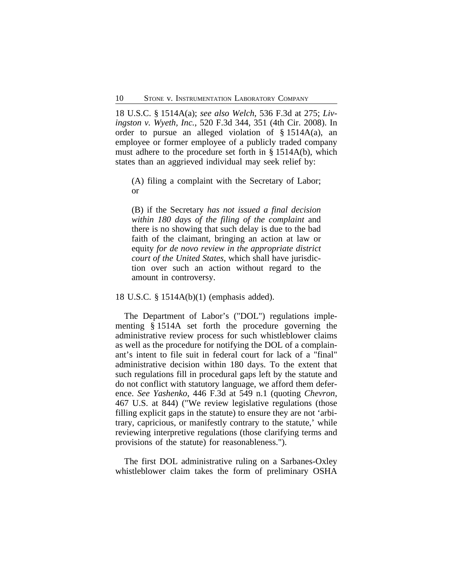18 U.S.C. § 1514A(a); *see also Welch*, 536 F.3d at 275; *Livingston v. Wyeth, Inc.*, 520 F.3d 344, 351 (4th Cir. 2008). In order to pursue an alleged violation of  $\S$  1514A(a), an employee or former employee of a publicly traded company must adhere to the procedure set forth in § 1514A(b), which states than an aggrieved individual may seek relief by:

(A) filing a complaint with the Secretary of Labor; or

(B) if the Secretary *has not issued a final decision within 180 days of the filing of the complaint* and there is no showing that such delay is due to the bad faith of the claimant, bringing an action at law or equity *for de novo review in the appropriate district court of the United States*, which shall have jurisdiction over such an action without regard to the amount in controversy.

18 U.S.C. § 1514A(b)(1) (emphasis added).

The Department of Labor's ("DOL") regulations implementing § 1514A set forth the procedure governing the administrative review process for such whistleblower claims as well as the procedure for notifying the DOL of a complainant's intent to file suit in federal court for lack of a "final" administrative decision within 180 days. To the extent that such regulations fill in procedural gaps left by the statute and do not conflict with statutory language, we afford them deference. *See Yashenko*, 446 F.3d at 549 n.1 (quoting *Chevron*, 467 U.S. at 844) ("We review legislative regulations (those filling explicit gaps in the statute) to ensure they are not 'arbitrary, capricious, or manifestly contrary to the statute,' while reviewing interpretive regulations (those clarifying terms and provisions of the statute) for reasonableness.").

The first DOL administrative ruling on a Sarbanes-Oxley whistleblower claim takes the form of preliminary OSHA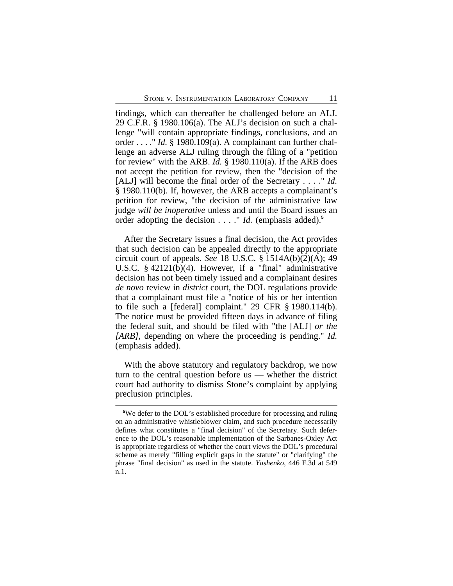findings, which can thereafter be challenged before an ALJ. 29 C.F.R. § 1980.106(a). The ALJ's decision on such a challenge "will contain appropriate findings, conclusions, and an order . . . ." *Id.* § 1980.109(a). A complainant can further challenge an adverse ALJ ruling through the filing of a "petition for review" with the ARB. *Id.* § 1980.110(a). If the ARB does not accept the petition for review, then the "decision of the [ALJ] will become the final order of the Secretary . . . ." *Id.* § 1980.110(b). If, however, the ARB accepts a complainant's petition for review, "the decision of the administrative law judge *will be inoperative* unless and until the Board issues an order adopting the decision . . . ." *Id.* (emphasis added).**<sup>5</sup>**

After the Secretary issues a final decision, the Act provides that such decision can be appealed directly to the appropriate circuit court of appeals. *See* 18 U.S.C. § 1514A(b)(2)(A); 49 U.S.C. § 42121(b)(4). However, if a "final" administrative decision has not been timely issued and a complainant desires *de novo* review in *district* court, the DOL regulations provide that a complainant must file a "notice of his or her intention to file such a [federal] complaint." 29 CFR § 1980.114(b). The notice must be provided fifteen days in advance of filing the federal suit, and should be filed with "the [ALJ] *or the [ARB]*, depending on where the proceeding is pending." *Id.* (emphasis added).

With the above statutory and regulatory backdrop, we now turn to the central question before us — whether the district court had authority to dismiss Stone's complaint by applying preclusion principles.

**<sup>5</sup>**We defer to the DOL's established procedure for processing and ruling on an administrative whistleblower claim, and such procedure necessarily defines what constitutes a "final decision" of the Secretary. Such deference to the DOL's reasonable implementation of the Sarbanes-Oxley Act is appropriate regardless of whether the court views the DOL's procedural scheme as merely "filling explicit gaps in the statute" or "clarifying" the phrase "final decision" as used in the statute. *Yashenko*, 446 F.3d at 549 n.1.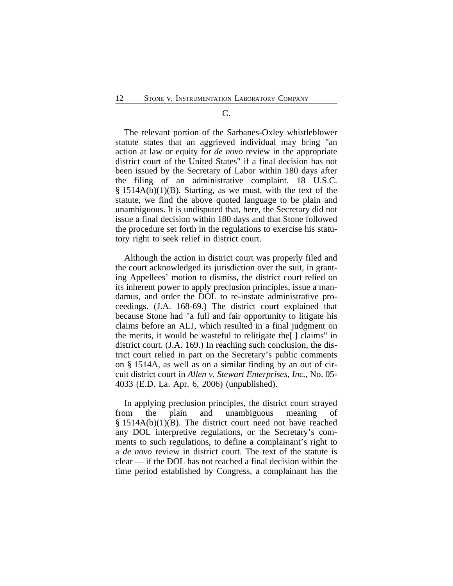#### C.

The relevant portion of the Sarbanes-Oxley whistleblower statute states that an aggrieved individual may bring "an action at law or equity for *de novo* review in the appropriate district court of the United States" if a final decision has not been issued by the Secretary of Labor within 180 days after the filing of an administrative complaint. 18 U.S.C. § 1514A(b)(1)(B). Starting, as we must, with the text of the statute, we find the above quoted language to be plain and unambiguous. It is undisputed that, here, the Secretary did not issue a final decision within 180 days and that Stone followed the procedure set forth in the regulations to exercise his statutory right to seek relief in district court.

Although the action in district court was properly filed and the court acknowledged its jurisdiction over the suit, in granting Appellees' motion to dismiss, the district court relied on its inherent power to apply preclusion principles, issue a mandamus, and order the DOL to re-instate administrative proceedings. (J.A. 168-69.) The district court explained that because Stone had "a full and fair opportunity to litigate his claims before an ALJ, which resulted in a final judgment on the merits, it would be wasteful to relitigate the[ ] claims" in district court. (J.A. 169.) In reaching such conclusion, the district court relied in part on the Secretary's public comments on § 1514A, as well as on a similar finding by an out of circuit district court in *Allen v. Stewart Enterprises, Inc.*, No. 05- 4033 (E.D. La. Apr. 6, 2006) (unpublished).

In applying preclusion principles, the district court strayed from the plain and unambiguous meaning of  $§$  1514A(b)(1)(B). The district court need not have reached any DOL interpretive regulations, or the Secretary's comments to such regulations, to define a complainant's right to a *de novo* review in district court. The text of the statute is clear — if the DOL has not reached a final decision within the time period established by Congress, a complainant has the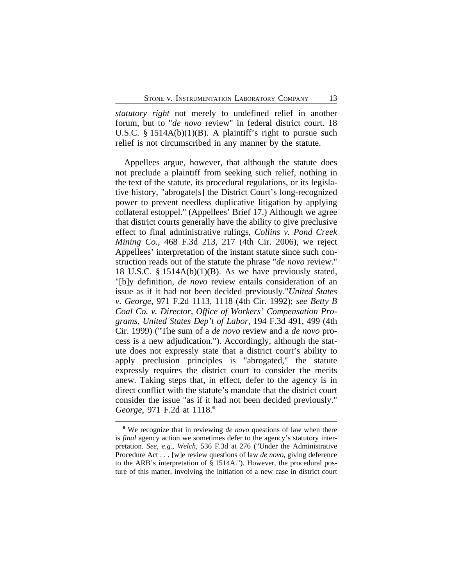*statutory right* not merely to undefined relief in another forum, but to "*de novo* review" in federal district court. 18 U.S.C. § 1514A(b)(1)(B). A plaintiff's right to pursue such relief is not circumscribed in any manner by the statute.

Appellees argue, however, that although the statute does not preclude a plaintiff from seeking such relief, nothing in the text of the statute, its procedural regulations, or its legislative history, "abrogate[s] the District Court's long-recognized power to prevent needless duplicative litigation by applying collateral estoppel." (Appellees' Brief 17.) Although we agree that district courts generally have the ability to give preclusive effect to final administrative rulings, *Collins v. Pond Creek Mining Co.*, 468 F.3d 213, 217 (4th Cir. 2006), we reject Appellees' interpretation of the instant statute since such construction reads out of the statute the phrase "*de novo* review." 18 U.S.C. § 1514A(b)(1)(B). As we have previously stated, "[b]y definition, *de novo* review entails consideration of an issue as if it had not been decided previously."*United States v. George*, 971 F.2d 1113, 1118 (4th Cir. 1992); *see Betty B Coal Co. v. Director, Office of Workers' Compensation Programs, United States Dep't of Labor*, 194 F.3d 491, 499 (4th Cir. 1999) ("The sum of a *de novo* review and a *de novo* process is a new adjudication."). Accordingly, although the statute does not expressly state that a district court's ability to apply preclusion principles is "abrogated," the statute expressly requires the district court to consider the merits anew. Taking steps that, in effect, defer to the agency is in direct conflict with the statute's mandate that the district court consider the issue "as if it had not been decided previously." *George*, 971 F.2d at 1118.**<sup>6</sup>**

**<sup>6</sup>** We recognize that in reviewing *de novo* questions of law when there is *final* agency action we sometimes defer to the agency's statutory interpretation. *See*, *e.g.*, *Welch*, 536 F.3d at 276 ("Under the Administrative Procedure Act . . . [w]e review questions of law *de novo*, giving deference to the ARB's interpretation of § 1514A."). However, the procedural posture of this matter, involving the initiation of a new case in district court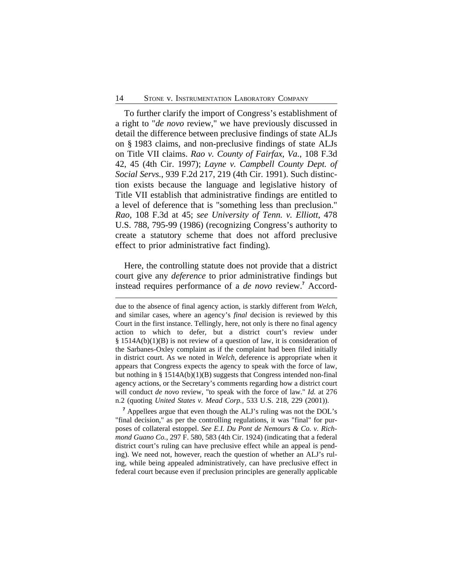To further clarify the import of Congress's establishment of a right to "*de novo* review," we have previously discussed in detail the difference between preclusive findings of state ALJs on § 1983 claims, and non-preclusive findings of state ALJs on Title VII claims. *Rao v. County of Fairfax, Va.*, 108 F.3d 42, 45 (4th Cir. 1997); *Layne v. Campbell County Dept. of Social Servs.*, 939 F.2d 217, 219 (4th Cir. 1991). Such distinction exists because the language and legislative history of Title VII establish that administrative findings are entitled to a level of deference that is "something less than preclusion." *Rao*, 108 F.3d at 45; *see University of Tenn. v. Elliott*, 478 U.S. 788, 795-99 (1986) (recognizing Congress's authority to create a statutory scheme that does not afford preclusive effect to prior administrative fact finding).

Here, the controlling statute does not provide that a district court give any *deference* to prior administrative findings but instead requires performance of a *de novo* review.**<sup>7</sup>** Accord-

due to the absence of final agency action, is starkly different from *Welch*, and similar cases, where an agency's *final* decision is reviewed by this Court in the first instance. Tellingly, here, not only is there no final agency action to which to defer, but a district court's review under § 1514A(b)(1)(B) is not review of a question of law, it is consideration of the Sarbanes-Oxley complaint as if the complaint had been filed initially in district court. As we noted in *Welch*, deference is appropriate when it appears that Congress expects the agency to speak with the force of law, but nothing in § 1514A(b)(1)(B) suggests that Congress intended non-final agency actions, or the Secretary's comments regarding how a district court will conduct *de novo* review, "to speak with the force of law." *Id.* at 276 n.2 (quoting *United States v. Mead Corp.,* 533 U.S. 218, 229 (2001)).

<sup>&</sup>lt;sup>7</sup> Appellees argue that even though the ALJ's ruling was not the DOL's "final decision," as per the controlling regulations, it was "final" for purposes of collateral estoppel. *See E.I. Du Pont de Nemours & Co. v. Richmond Guano Co.*, 297 F. 580, 583 (4th Cir. 1924) (indicating that a federal district court's ruling can have preclusive effect while an appeal is pending). We need not, however, reach the question of whether an ALJ's ruling, while being appealed administratively, can have preclusive effect in federal court because even if preclusion principles are generally applicable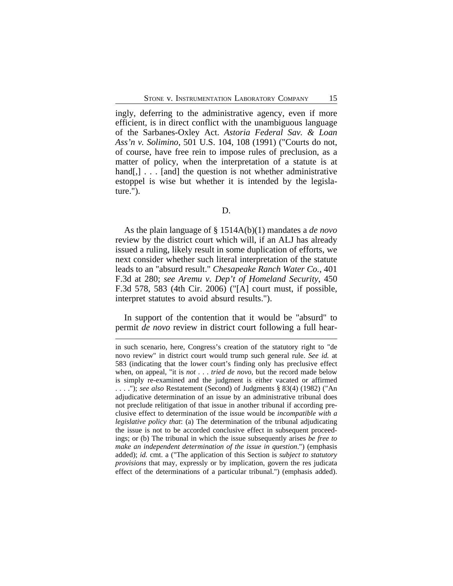ingly, deferring to the administrative agency, even if more efficient, is in direct conflict with the unambiguous language of the Sarbanes-Oxley Act. *Astoria Federal Sav. & Loan Ass'n v. Solimino*, 501 U.S. 104, 108 (1991) ("Courts do not, of course, have free rein to impose rules of preclusion, as a matter of policy, when the interpretation of a statute is at hand[,] . . . [and] the question is not whether administrative estoppel is wise but whether it is intended by the legislature.").

As the plain language of § 1514A(b)(1) mandates a *de novo* review by the district court which will, if an ALJ has already issued a ruling, likely result in some duplication of efforts, we next consider whether such literal interpretation of the statute leads to an "absurd result." *Chesapeake Ranch Water Co.*, 401 F.3d at 280; *see Aremu v. Dep't of Homeland Security*, 450 F.3d 578, 583 (4th Cir. 2006) ("[A] court must, if possible, interpret statutes to avoid absurd results.").

In support of the contention that it would be "absurd" to permit *de novo* review in district court following a full hear-

in such scenario, here, Congress's creation of the statutory right to "de novo review" in district court would trump such general rule. *See id.* at 583 (indicating that the lower court's finding only has preclusive effect when, on appeal, "it is *not* . . . *tried de novo*, but the record made below is simply re-examined and the judgment is either vacated or affirmed . . . ."); *see also* Restatement (Second) of Judgments § 83(4) (1982) ("An adjudicative determination of an issue by an administrative tribunal does not preclude relitigation of that issue in another tribunal if according preclusive effect to determination of the issue would be *incompatible with a legislative policy that*: (a) The determination of the tribunal adjudicating the issue is not to be accorded conclusive effect in subsequent proceedings; or (b) The tribunal in which the issue subsequently arises *be free to make an independent determination of the issue in question*.") (emphasis added); *id.* cmt. a ("The application of this Section is *subject to statutory provisions* that may, expressly or by implication, govern the res judicata effect of the determinations of a particular tribunal.") (emphasis added).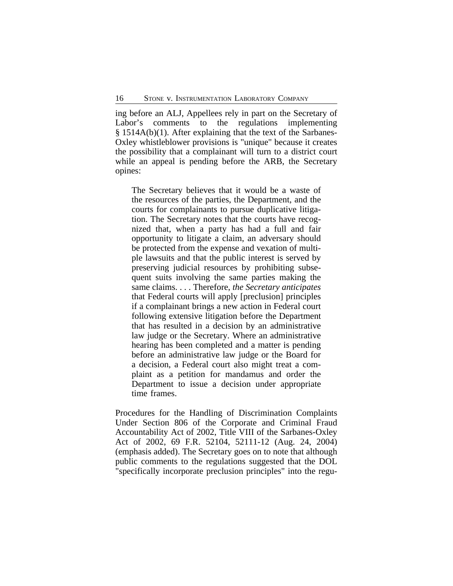ing before an ALJ, Appellees rely in part on the Secretary of Labor's comments to the regulations implementing § 1514A(b)(1). After explaining that the text of the Sarbanes-Oxley whistleblower provisions is "unique" because it creates the possibility that a complainant will turn to a district court while an appeal is pending before the ARB, the Secretary opines:

The Secretary believes that it would be a waste of the resources of the parties, the Department, and the courts for complainants to pursue duplicative litigation. The Secretary notes that the courts have recognized that, when a party has had a full and fair opportunity to litigate a claim, an adversary should be protected from the expense and vexation of multiple lawsuits and that the public interest is served by preserving judicial resources by prohibiting subsequent suits involving the same parties making the same claims. . . . Therefore, *the Secretary anticipates* that Federal courts will apply [preclusion] principles if a complainant brings a new action in Federal court following extensive litigation before the Department that has resulted in a decision by an administrative law judge or the Secretary. Where an administrative hearing has been completed and a matter is pending before an administrative law judge or the Board for a decision, a Federal court also might treat a complaint as a petition for mandamus and order the Department to issue a decision under appropriate time frames.

Procedures for the Handling of Discrimination Complaints Under Section 806 of the Corporate and Criminal Fraud Accountability Act of 2002, Title VIII of the Sarbanes-Oxley Act of 2002, 69 F.R. 52104, 52111-12 (Aug. 24, 2004) (emphasis added). The Secretary goes on to note that although public comments to the regulations suggested that the DOL "specifically incorporate preclusion principles" into the regu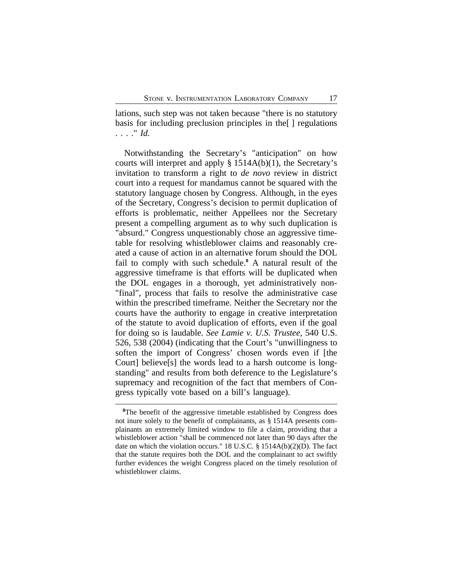lations, such step was not taken because "there is no statutory basis for including preclusion principles in the[ ] regulations . . . ." *Id.*

Notwithstanding the Secretary's "anticipation" on how courts will interpret and apply § 1514A(b)(1), the Secretary's invitation to transform a right to *de novo* review in district court into a request for mandamus cannot be squared with the statutory language chosen by Congress. Although, in the eyes of the Secretary, Congress's decision to permit duplication of efforts is problematic, neither Appellees nor the Secretary present a compelling argument as to why such duplication is "absurd." Congress unquestionably chose an aggressive timetable for resolving whistleblower claims and reasonably created a cause of action in an alternative forum should the DOL fail to comply with such schedule.<sup>8</sup> A natural result of the aggressive timeframe is that efforts will be duplicated when the DOL engages in a thorough, yet administratively non- "final", process that fails to resolve the administrative case within the prescribed timeframe. Neither the Secretary nor the courts have the authority to engage in creative interpretation of the statute to avoid duplication of efforts, even if the goal for doing so is laudable. *See Lamie v. U.S. Trustee*, 540 U.S. 526, 538 (2004) (indicating that the Court's "unwillingness to soften the import of Congress' chosen words even if [the Court] believe<sup>[s]</sup> the words lead to a harsh outcome is longstanding" and results from both deference to the Legislature's supremacy and recognition of the fact that members of Congress typically vote based on a bill's language).

<sup>&</sup>lt;sup>8</sup>The benefit of the aggressive timetable established by Congress does not inure solely to the benefit of complainants, as § 1514A presents complainants an extremely limited window to file a claim, providing that a whistleblower action "shall be commenced not later than 90 days after the date on which the violation occurs." 18 U.S.C. § 1514A(b)(2)(D). The fact that the statute requires both the DOL and the complainant to act swiftly further evidences the weight Congress placed on the timely resolution of whistleblower claims.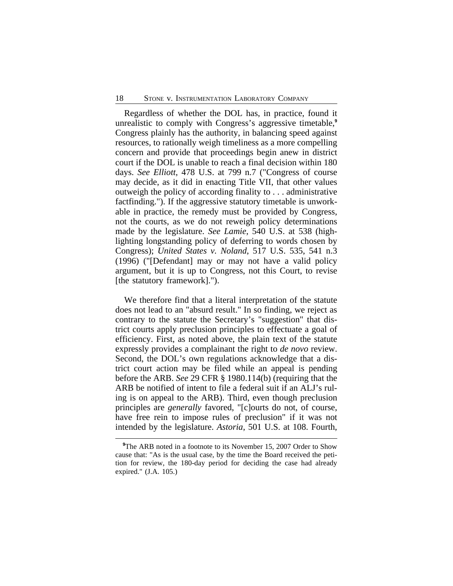Regardless of whether the DOL has, in practice, found it unrealistic to comply with Congress's aggressive timetable,**<sup>9</sup>** Congress plainly has the authority, in balancing speed against resources, to rationally weigh timeliness as a more compelling concern and provide that proceedings begin anew in district court if the DOL is unable to reach a final decision within 180 days. *See Elliott*, 478 U.S. at 799 n.7 ("Congress of course may decide, as it did in enacting Title VII, that other values outweigh the policy of according finality to . . . administrative factfinding."). If the aggressive statutory timetable is unworkable in practice, the remedy must be provided by Congress, not the courts, as we do not reweigh policy determinations made by the legislature. *See Lamie*, 540 U.S. at 538 (highlighting longstanding policy of deferring to words chosen by Congress); *United States v. Noland*, 517 U.S. 535, 541 n.3 (1996) ("[Defendant] may or may not have a valid policy argument, but it is up to Congress, not this Court, to revise [the statutory framework].").

We therefore find that a literal interpretation of the statute does not lead to an "absurd result." In so finding, we reject as contrary to the statute the Secretary's "suggestion" that district courts apply preclusion principles to effectuate a goal of efficiency. First, as noted above, the plain text of the statute expressly provides a complainant the right to *de novo* review. Second, the DOL's own regulations acknowledge that a district court action may be filed while an appeal is pending before the ARB. *See* 29 CFR § 1980.114(b) (requiring that the ARB be notified of intent to file a federal suit if an ALJ's ruling is on appeal to the ARB). Third, even though preclusion principles are *generally* favored, "[c]ourts do not, of course, have free rein to impose rules of preclusion" if it was not intended by the legislature. *Astoria*, 501 U.S. at 108. Fourth,

<sup>&</sup>lt;sup>9</sup>The ARB noted in a footnote to its November 15, 2007 Order to Show cause that: "As is the usual case, by the time the Board received the petition for review, the 180-day period for deciding the case had already expired." (J.A. 105.)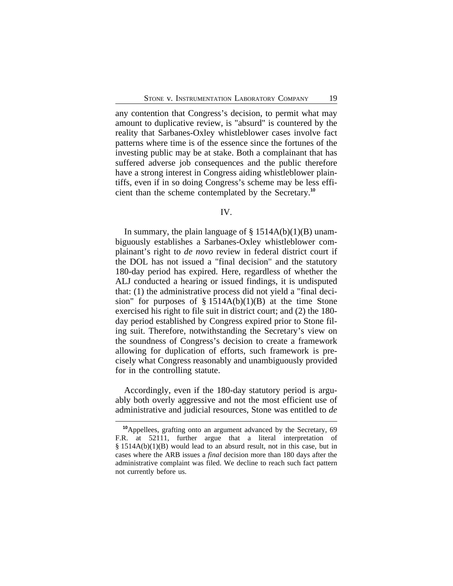any contention that Congress's decision, to permit what may amount to duplicative review, is "absurd" is countered by the reality that Sarbanes-Oxley whistleblower cases involve fact patterns where time is of the essence since the fortunes of the investing public may be at stake. Both a complainant that has suffered adverse job consequences and the public therefore have a strong interest in Congress aiding whistleblower plaintiffs, even if in so doing Congress's scheme may be less efficient than the scheme contemplated by the Secretary.**<sup>10</sup>**

#### IV.

In summary, the plain language of  $\S$  1514A(b)(1)(B) unambiguously establishes a Sarbanes-Oxley whistleblower complainant's right to *de novo* review in federal district court if the DOL has not issued a "final decision" and the statutory 180-day period has expired. Here, regardless of whether the ALJ conducted a hearing or issued findings, it is undisputed that: (1) the administrative process did not yield a "final decision" for purposes of  $\S$  1514A(b)(1)(B) at the time Stone exercised his right to file suit in district court; and (2) the 180 day period established by Congress expired prior to Stone filing suit. Therefore, notwithstanding the Secretary's view on the soundness of Congress's decision to create a framework allowing for duplication of efforts, such framework is precisely what Congress reasonably and unambiguously provided for in the controlling statute.

Accordingly, even if the 180-day statutory period is arguably both overly aggressive and not the most efficient use of administrative and judicial resources, Stone was entitled to *de*

**<sup>10</sup>**Appellees, grafting onto an argument advanced by the Secretary, 69 F.R. at 52111, further argue that a literal interpretation of § 1514A(b)(1)(B) would lead to an absurd result, not in this case, but in cases where the ARB issues a *final* decision more than 180 days after the administrative complaint was filed. We decline to reach such fact pattern not currently before us.